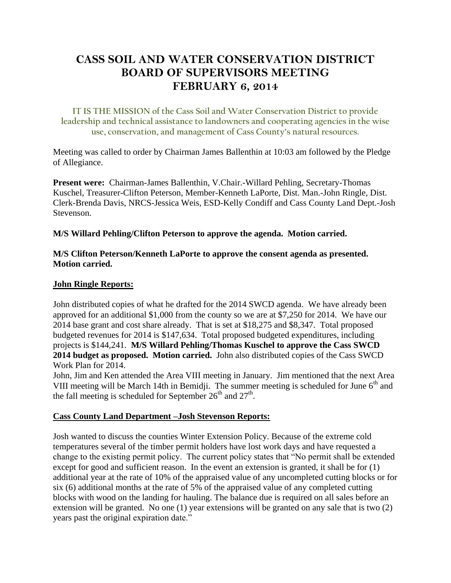# **CASS SOIL AND WATER CONSERVATION DISTRICT BOARD OF SUPERVISORS MEETING FEBRUARY 6, 2014**

**IT IS THE MISSION of the Cass Soil and Water Conservation District to provide leadership and technical assistance to landowners and cooperating agencies in the wise use, conservation, and management of Cass County's natural resources.**

Meeting was called to order by Chairman James Ballenthin at 10:03 am followed by the Pledge of Allegiance.

**Present were:** Chairman-James Ballenthin, V.Chair.-Willard Pehling, Secretary-Thomas Kuschel, Treasurer-Clifton Peterson, Member-Kenneth LaPorte, Dist. Man.-John Ringle, Dist. Clerk-Brenda Davis, NRCS-Jessica Weis, ESD-Kelly Condiff and Cass County Land Dept.-Josh Stevenson.

### **M/S Willard Pehling/Clifton Peterson to approve the agenda. Motion carried.**

### **M/S Clifton Peterson/Kenneth LaPorte to approve the consent agenda as presented. Motion carried.**

### **John Ringle Reports:**

John distributed copies of what he drafted for the 2014 SWCD agenda. We have already been approved for an additional \$1,000 from the county so we are at \$7,250 for 2014. We have our 2014 base grant and cost share already. That is set at \$18,275 and \$8,347. Total proposed budgeted revenues for 2014 is \$147,634. Total proposed budgeted expenditures, including projects is \$144,241. **M/S Willard Pehling/Thomas Kuschel to approve the Cass SWCD 2014 budget as proposed. Motion carried.** John also distributed copies of the Cass SWCD Work Plan for 2014.

John, Jim and Ken attended the Area VIII meeting in January. Jim mentioned that the next Area VIII meeting will be March 14th in Bemidji. The summer meeting is scheduled for June  $6<sup>th</sup>$  and the fall meeting is scheduled for September  $26<sup>th</sup>$  and  $27<sup>th</sup>$ .

#### **Cass County Land Department –Josh Stevenson Reports:**

Josh wanted to discuss the counties Winter Extension Policy. Because of the extreme cold temperatures several of the timber permit holders have lost work days and have requested a change to the existing permit policy. The current policy states that "No permit shall be extended except for good and sufficient reason. In the event an extension is granted, it shall be for (1) additional year at the rate of 10% of the appraised value of any uncompleted cutting blocks or for six (6) additional months at the rate of 5% of the appraised value of any completed cutting blocks with wood on the landing for hauling. The balance due is required on all sales before an extension will be granted. No one (1) year extensions will be granted on any sale that is two (2) years past the original expiration date."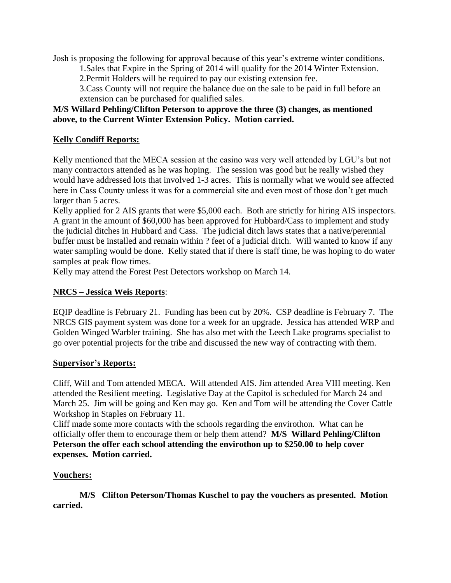Josh is proposing the following for approval because of this year's extreme winter conditions.

1.Sales that Expire in the Spring of 2014 will qualify for the 2014 Winter Extension.

2.Permit Holders will be required to pay our existing extension fee.

3.Cass County will not require the balance due on the sale to be paid in full before an extension can be purchased for qualified sales.

## **M/S Willard Pehling/Clifton Peterson to approve the three (3) changes, as mentioned above, to the Current Winter Extension Policy. Motion carried.**

## **Kelly Condiff Reports:**

Kelly mentioned that the MECA session at the casino was very well attended by LGU's but not many contractors attended as he was hoping. The session was good but he really wished they would have addressed lots that involved 1-3 acres. This is normally what we would see affected here in Cass County unless it was for a commercial site and even most of those don't get much larger than 5 acres.

Kelly applied for 2 AIS grants that were \$5,000 each. Both are strictly for hiring AIS inspectors. A grant in the amount of \$60,000 has been approved for Hubbard/Cass to implement and study the judicial ditches in Hubbard and Cass. The judicial ditch laws states that a native/perennial buffer must be installed and remain within ? feet of a judicial ditch. Will wanted to know if any water sampling would be done. Kelly stated that if there is staff time, he was hoping to do water samples at peak flow times.

Kelly may attend the Forest Pest Detectors workshop on March 14.

## **NRCS – Jessica Weis Reports**:

EQIP deadline is February 21. Funding has been cut by 20%. CSP deadline is February 7. The NRCS GIS payment system was done for a week for an upgrade. Jessica has attended WRP and Golden Winged Warbler training. She has also met with the Leech Lake programs specialist to go over potential projects for the tribe and discussed the new way of contracting with them.

## **Supervisor's Reports:**

Cliff, Will and Tom attended MECA. Will attended AIS. Jim attended Area VIII meeting. Ken attended the Resilient meeting. Legislative Day at the Capitol is scheduled for March 24 and March 25. Jim will be going and Ken may go. Ken and Tom will be attending the Cover Cattle Workshop in Staples on February 11.

Cliff made some more contacts with the schools regarding the envirothon. What can he officially offer them to encourage them or help them attend? **M/S Willard Pehling/Clifton Peterson the offer each school attending the envirothon up to \$250.00 to help cover expenses. Motion carried.** 

## **Vouchers:**

**M/S Clifton Peterson/Thomas Kuschel to pay the vouchers as presented. Motion carried.**